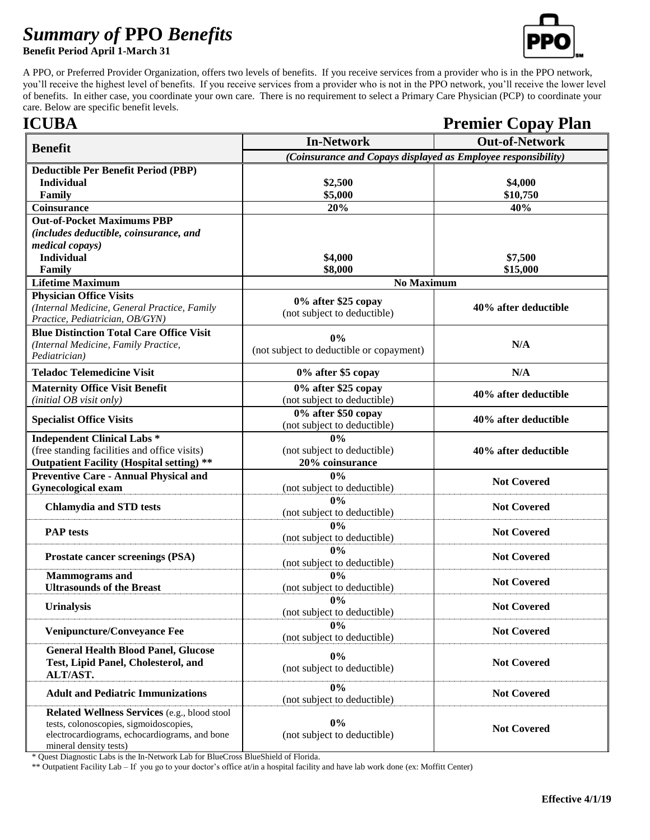## *Summary of* **PPO** *Benefits*

**Benefit Period April 1-March 31**



A PPO, or Preferred Provider Organization, offers two levels of benefits. If you receive services from a provider who is in the PPO network, you'll receive the highest level of benefits. If you receive services from a provider who is not in the PPO network, you'll receive the lower level of benefits. In either case, you coordinate your own care. There is no requirement to select a Primary Care Physician (PCP) to coordinate your care. Below are specific benefit levels.

## **ICUBA** Premier Copay Plan **Benefit In-Network In-Network**<br> *(Coinsurance and Copays displayed as Employee responsibility)* **Deductible Per Benefit Period (PBP) Individual Family \$2,500 \$5,000 \$4,000 \$10,750 Coinsurance 20% 40% Out-of-Pocket Maximums PBP**  *(includes deductible, coinsurance, and medical copays)*  **Individual Family \$4,000 \$8,000 \$7,500 \$15,000 Lifetime Maximum No Maximum** No Maximum No Maximum No Maximum **Physician Office Visits** *(Internal Medicine, General Practice, Family Practice, Pediatrician, OB/GYN)* **0% after \$25 copay** (not subject to deductible) **40% after deductible Blue Distinction Total Care Office Visit** *(Internal Medicine, Family Practice, Pediatrician)* **0%** (not subject to deductible or copayment) **N/A Teladoc Telemedicine Visit 0% after \$5 copay N/A Maternity Office Visit Benefit**  *(initial OB visit only)* **0% after \$25 copay** (not subject to deductible) **40% after deductible Specialist Office Visits 0% after \$50 copay** (not subject to deductible) **40% after deductible Independent Clinical Labs \***  (free standing facilities and office visits) **Outpatient Facility (Hospital setting) \*\* 0%** (not subject to deductible) **20% coinsurance 40% after deductible Preventive Care - Annual Physical and Gynecological exam 0%** (not subject to deductible) **Not Covered Chlamydia and STD tests 0%** (not subject to deductible) **Not Covered PAP tests 0% 0%** (not subject to deductible) **Not Covered Prostate cancer screenings (PSA) 0%** (not subject to deductible) **Not Covered Mammograms and Ultrasounds of the Breast 0%** (not subject to deductible) **Not Covered Urinalysis 0% 0% 1** (not subject to deductible) **Not Covered Venipuncture/Conveyance Fee 0%** (not subject to deductible) **Not Covered General Health Blood Panel, Glucose Test, Lipid Panel, Cholesterol, and ALT/AST. 0%** (not subject to deductible) **Not Covered Adult and Pediatric Immunizations 0%** (not subject to deductible) **Not Covered Related Wellness Services** (e.g., blood stool tests, colonoscopies, sigmoidoscopies, electrocardiograms, echocardiograms, and bone mineral density tests) **0%** (not subject to deductible) **Not Covered**

\* Quest Diagnostic Labs is the In-Network Lab for BlueCross BlueShield of Florida.

\*\* Outpatient Facility Lab – If you go to your doctor's office at/in a hospital facility and have lab work done (ex: Moffitt Center)